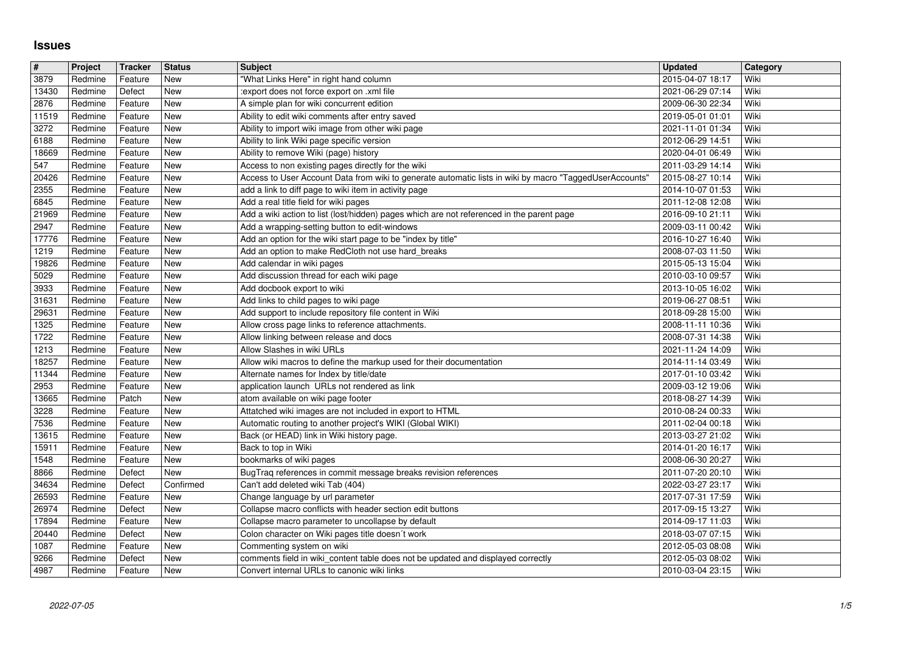## **Issues**

| #              | Project            | <b>Tracker</b>     | <b>Status</b>     | <b>Subject</b>                                                                                                                                                | <b>Updated</b>                       | Category     |
|----------------|--------------------|--------------------|-------------------|---------------------------------------------------------------------------------------------------------------------------------------------------------------|--------------------------------------|--------------|
| 3879           | Redmine            | Feature            | New               | "What Links Here" in right hand column                                                                                                                        | 2015-04-07 18:17                     | Wiki         |
| 13430<br>2876  | Redmine<br>Redmine | Defect<br>Feature  | New<br>New        | :export does not force export on .xml file<br>A simple plan for wiki concurrent edition                                                                       | 2021-06-29 07:14<br>2009-06-30 22:34 | Wiki<br>Wiki |
| 11519          | Redmine            | Feature            | <b>New</b>        | Ability to edit wiki comments after entry saved                                                                                                               | 2019-05-01 01:01                     | Wiki         |
| 3272           | Redmine            | Feature            | New               | Ability to import wiki image from other wiki page                                                                                                             | 2021-11-01 01:34                     | Wiki         |
| 6188           | Redmine            | Feature            | New               | Ability to link Wiki page specific version                                                                                                                    | 2012-06-29 14:51                     | Wiki         |
| 18669          | Redmine            | Feature            | New               | Ability to remove Wiki (page) history                                                                                                                         | 2020-04-01 06:49                     | Wiki         |
| 547<br>20426   | Redmine<br>Redmine | Feature<br>Feature | New<br>New        | Access to non existing pages directly for the wiki<br>Access to User Account Data from wiki to generate automatic lists in wiki by macro "TaggedUserAccounts' | 2011-03-29 14:14<br>2015-08-27 10:14 | Wiki<br>Wiki |
| 2355           | Redmine            | Feature            | New               | add a link to diff page to wiki item in activity page                                                                                                         | 2014-10-07 01:53                     | Wiki         |
| 6845           | Redmine            | Feature            | New               | Add a real title field for wiki pages                                                                                                                         | 2011-12-08 12:08                     | Wiki         |
| 21969          | Redmine            | Feature            | <b>New</b>        | Add a wiki action to list (lost/hidden) pages which are not referenced in the parent page                                                                     | 2016-09-10 21:11                     | Wiki         |
| 2947<br>17776  | Redmine<br>Redmine | Feature<br>Feature | New<br>New        | Add a wrapping-setting button to edit-windows<br>Add an option for the wiki start page to be "index by title"                                                 | 2009-03-11 00:42<br>2016-10-27 16:40 | Wiki<br>Wiki |
| 1219           | Redmine            | Feature            | New               | Add an option to make RedCloth not use hard_breaks                                                                                                            | 2008-07-03 11:50                     | Wiki         |
| 19826          | Redmine            | Feature            | New               | Add calendar in wiki pages                                                                                                                                    | 2015-05-13 15:04                     | Wiki         |
| 5029           | Redmine            | Feature            | <b>New</b>        | Add discussion thread for each wiki page                                                                                                                      | 2010-03-10 09:57                     | Wiki         |
| 3933           | Redmine            | Feature            | New               | Add docbook export to wiki                                                                                                                                    | 2013-10-05 16:02                     | Wiki         |
| 31631<br>29631 | Redmine<br>Redmine | Feature<br>Feature | New<br>New        | Add links to child pages to wiki page<br>Add support to include repository file content in Wiki                                                               | 2019-06-27 08:51<br>2018-09-28 15:00 | Wiki<br>Wiki |
| 1325           | Redmine            | Feature            | New               | Allow cross page links to reference attachments.                                                                                                              | 2008-11-11 10:36                     | Wiki         |
| 1722           | Redmine            | Feature            | New               | Allow linking between release and docs                                                                                                                        | 2008-07-31 14:38                     | Wiki         |
| 1213           | Redmine            | Feature            | New               | Allow Slashes in wiki URLs                                                                                                                                    | 2021-11-24 14:09                     | Wiki         |
| 18257<br>11344 | Redmine<br>Redmine | Feature<br>Feature | New<br>New        | Allow wiki macros to define the markup used for their documentation<br>Alternate names for Index by title/date                                                | 2014-11-14 03:49<br>2017-01-10 03:42 | Wiki<br>Wiki |
| 2953           | Redmine            | Feature            | <b>New</b>        | application launch URLs not rendered as link                                                                                                                  | 2009-03-12 19:06                     | Wiki         |
| 13665          | Redmine            | Patch              | New               | atom available on wiki page footer                                                                                                                            | 2018-08-27 14:39                     | Wiki         |
| 3228           | Redmine            | Feature            | New               | Attatched wiki images are not included in export to HTML                                                                                                      | 2010-08-24 00:33                     | Wiki         |
| 7536           | Redmine            | Feature            | New<br><b>New</b> | Automatic routing to another project's WIKI (Global WIKI)                                                                                                     | 2011-02-04 00:18                     | Wiki<br>Wiki |
| 13615<br>15911 | Redmine<br>Redmine | Feature<br>Feature | New               | Back (or HEAD) link in Wiki history page.<br>Back to top in Wiki                                                                                              | 2013-03-27 21:02<br>2014-01-20 16:17 | Wiki         |
| 1548           | Redmine            | Feature            | <b>New</b>        | bookmarks of wiki pages                                                                                                                                       | 2008-06-30 20:27                     | Wiki         |
| 8866           | Redmine            | Defect             | <b>New</b>        | BugTraq references in commit message breaks revision references                                                                                               | 2011-07-20 20:10                     | Wiki         |
| 34634          | Redmine            | Defect             | Confirmed         | Can't add deleted wiki Tab (404)                                                                                                                              | 2022-03-27 23:17                     | Wiki         |
| 26593<br>26974 | Redmine<br>Redmine | Feature<br>Defect  | New<br>New        | Change language by url parameter<br>Collapse macro conflicts with header section edit buttons                                                                 | 2017-07-31 17:59<br>2017-09-15 13:27 | Wiki<br>Wiki |
| 17894          | Redmine            | Feature            | New               | Collapse macro parameter to uncollapse by default                                                                                                             | 2014-09-17 11:03                     | Wiki         |
| 20440          | Redmine            | Defect             | New               | Colon character on Wiki pages title doesn't work                                                                                                              | 2018-03-07 07:15                     | Wiki         |
| 1087           | Redmine            | Feature            | New               | Commenting system on wiki                                                                                                                                     | 2012-05-03 08:08                     | Wiki         |
| 9266<br>4987   | Redmine<br>Redmine | Defect<br>Feature  | New<br>New        | comments field in wiki_content table does not be updated and displayed correctly<br>Convert internal URLs to canonic wiki links                               | 2012-05-03 08:02<br>2010-03-04 23:15 | Wiki<br>Wiki |
|                |                    |                    |                   |                                                                                                                                                               |                                      |              |
|                |                    |                    |                   |                                                                                                                                                               |                                      |              |
|                |                    |                    |                   |                                                                                                                                                               |                                      |              |
|                |                    |                    |                   |                                                                                                                                                               |                                      |              |
|                |                    |                    |                   |                                                                                                                                                               |                                      |              |
|                |                    |                    |                   |                                                                                                                                                               |                                      |              |
|                |                    |                    |                   |                                                                                                                                                               |                                      |              |
|                |                    |                    |                   |                                                                                                                                                               |                                      |              |
|                |                    |                    |                   |                                                                                                                                                               |                                      |              |
|                |                    |                    |                   |                                                                                                                                                               |                                      |              |
|                |                    |                    |                   |                                                                                                                                                               |                                      |              |
|                |                    |                    |                   |                                                                                                                                                               |                                      |              |
|                |                    |                    |                   |                                                                                                                                                               |                                      |              |
|                |                    |                    |                   |                                                                                                                                                               |                                      |              |
|                |                    |                    |                   |                                                                                                                                                               |                                      |              |
|                |                    |                    |                   |                                                                                                                                                               |                                      |              |
|                |                    |                    |                   |                                                                                                                                                               |                                      |              |
|                |                    |                    |                   |                                                                                                                                                               |                                      |              |
|                |                    |                    |                   |                                                                                                                                                               |                                      |              |
|                |                    |                    |                   |                                                                                                                                                               |                                      |              |
|                |                    |                    |                   |                                                                                                                                                               |                                      |              |
|                |                    |                    |                   |                                                                                                                                                               |                                      |              |
|                |                    |                    |                   |                                                                                                                                                               |                                      |              |
|                |                    |                    |                   |                                                                                                                                                               |                                      |              |
|                |                    |                    |                   |                                                                                                                                                               |                                      |              |
|                |                    |                    |                   |                                                                                                                                                               |                                      |              |
|                |                    |                    |                   |                                                                                                                                                               |                                      |              |
|                |                    |                    |                   |                                                                                                                                                               |                                      |              |
|                |                    |                    |                   |                                                                                                                                                               |                                      |              |
|                |                    |                    |                   |                                                                                                                                                               |                                      |              |
|                |                    |                    |                   |                                                                                                                                                               |                                      |              |
|                |                    |                    |                   |                                                                                                                                                               |                                      |              |
|                |                    |                    |                   |                                                                                                                                                               |                                      |              |
|                |                    |                    |                   |                                                                                                                                                               |                                      |              |
|                |                    |                    |                   |                                                                                                                                                               |                                      |              |
|                |                    |                    |                   |                                                                                                                                                               |                                      |              |
|                |                    |                    |                   |                                                                                                                                                               |                                      |              |
|                |                    |                    |                   |                                                                                                                                                               |                                      |              |
|                |                    |                    |                   |                                                                                                                                                               |                                      |              |
|                |                    |                    |                   |                                                                                                                                                               |                                      |              |
|                |                    |                    |                   |                                                                                                                                                               |                                      |              |
|                |                    |                    |                   |                                                                                                                                                               |                                      |              |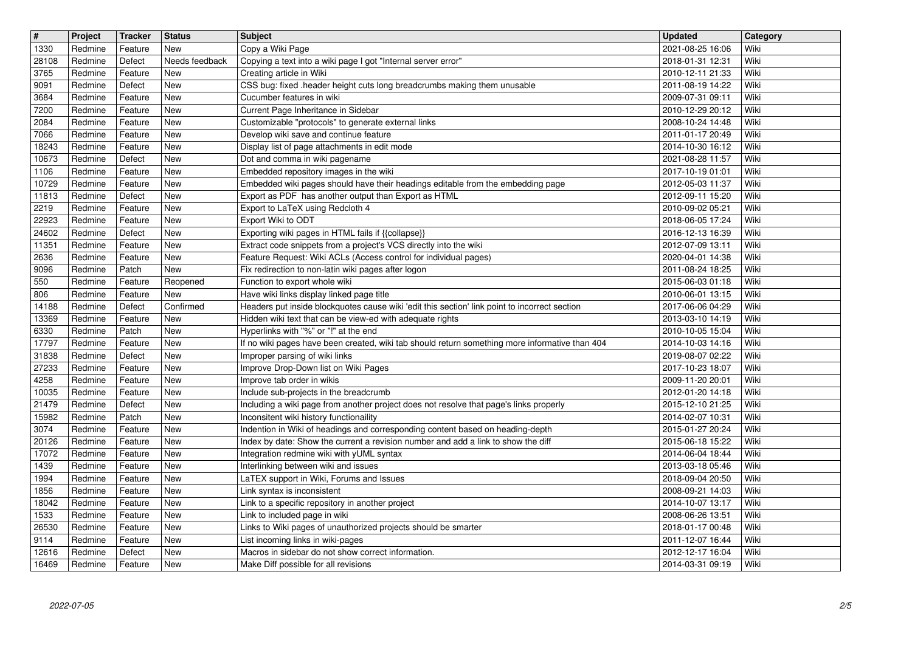| $\overline{\mathbf{t}}$ | Project            | Tracker            | <b>Status</b>            | <b>Subject</b>                                                                                                                                                      | <b>Updated</b>                       | Category     |
|-------------------------|--------------------|--------------------|--------------------------|---------------------------------------------------------------------------------------------------------------------------------------------------------------------|--------------------------------------|--------------|
| 1330<br>28108           | Redmine<br>Redmine | Feature<br>Defect  | New<br>Needs feedback    | Copy a Wiki Page<br>Copying a text into a wiki page I got "Internal server error"                                                                                   | 2021-08-25 16:06<br>2018-01-31 12:31 | Wiki<br>Wiki |
| 3765                    | Redmine            | Feature            | New                      | Creating article in Wiki                                                                                                                                            | 2010-12-11 21:33                     | Wiki         |
| 9091                    | Redmine            | Defect             | <b>New</b><br><b>New</b> | CSS bug: fixed .header height cuts long breadcrumbs making them unusable<br>Cucumber features in wiki                                                               | 2011-08-19 14:22                     | Wiki<br>Wiki |
| 3684<br>7200            | Redmine<br>Redmine | Feature<br>Feature | <b>New</b>               | Current Page Inheritance in Sidebar                                                                                                                                 | 2009-07-31 09:11<br>2010-12-29 20:12 | Wiki         |
| 2084                    | Redmine            | Feature            | New                      | Customizable "protocols" to generate external links                                                                                                                 | 2008-10-24 14:48                     | Wiki         |
| 7066<br>18243           | Redmine<br>Redmine | Feature<br>Feature | New<br>New               | Develop wiki save and continue feature<br>Display list of page attachments in edit mode                                                                             | 2011-01-17 20:49<br>2014-10-30 16:12 | Wiki<br>Wiki |
| 10673                   | Redmine            | Defect             | New                      | Dot and comma in wiki pagename                                                                                                                                      | 2021-08-28 11:57                     | Wiki         |
| 1106                    | Redmine            | Feature            | <b>New</b>               | Embedded repository images in the wiki<br>Embedded wiki pages should have their headings editable from the embedding page                                           | 2017-10-19 01:01                     | Wiki<br>Wiki |
| 10729<br>11813          | Redmine<br>Redmine | Feature<br>Defect  | <b>New</b><br>New        | Export as PDF has another output than Export as HTML                                                                                                                | 2012-05-03 11:37<br>2012-09-11 15:20 | Wiki         |
| 2219                    | Redmine            | Feature            | <b>New</b>               | Export to LaTeX using Redcloth 4                                                                                                                                    | 2010-09-02 05:21                     | Wiki         |
| 22923<br>24602          | Redmine<br>Redmine | Feature<br>Defect  | <b>New</b><br><b>New</b> | Export Wiki to ODT<br>Exporting wiki pages in HTML fails if {{collapse}}                                                                                            | 2018-06-05 17:24<br>2016-12-13 16:39 | Wiki<br>Wiki |
| 11351                   | Redmine            | Feature            | New                      | Extract code snippets from a project's VCS directly into the wiki                                                                                                   | 2012-07-09 13:11                     | Wiki         |
| 2636                    | Redmine            | Feature            | New<br><b>New</b>        | Feature Request: Wiki ACLs (Access control for individual pages)                                                                                                    | 2020-04-01 14:38                     | Wiki<br>Wiki |
| 9096<br>550             | Redmine<br>Redmine | Patch<br>Feature   | Reopened                 | Fix redirection to non-latin wiki pages after logon<br>Function to export whole wiki                                                                                | 2011-08-24 18:25<br>2015-06-03 01:18 | Wiki         |
| 806                     | Redmine            | Feature            | New                      | Have wiki links display linked page title                                                                                                                           | 2010-06-01 13:15                     | Wiki         |
| 14188<br>13369          | Redmine<br>Redmine | Defect<br>Feature  | Confirmed<br><b>New</b>  | Headers put inside blockquotes cause wiki 'edit this section' link point to incorrect section<br>Hidden wiki text that can be view-ed with adequate rights          | 2017-06-06 04:29<br>2013-03-10 14:19 | Wiki<br>Wiki |
| 6330                    | Redmine            | Patch              | <b>New</b>               | Hyperlinks with "%" or "!" at the end                                                                                                                               | 2010-10-05 15:04                     | Wiki         |
| 17797<br>31838          | Redmine<br>Redmine | Feature<br>Defect  | New<br>New               | If no wiki pages have been created, wiki tab should return something more informative than 404<br>Improper parsing of wiki links                                    | 2014-10-03 14:16<br>2019-08-07 02:22 | Wiki<br>Wiki |
| 27233                   | Redmine            | Feature            | New                      | Improve Drop-Down list on Wiki Pages                                                                                                                                | 2017-10-23 18:07                     | Wiki         |
| 4258                    | Redmine            | Feature            | <b>New</b>               | Improve tab order in wikis                                                                                                                                          | 2009-11-20 20:01                     | Wiki         |
| 10035<br>21479          | Redmine<br>Redmine | Feature<br>Defect  | <b>New</b><br>New        | Include sub-projects in the breadcrumb<br>Including a wiki page from another project does not resolve that page's links properly                                    | 2012-01-20 14:18<br>2015-12-10 21:25 | Wiki<br>Wiki |
| 15982                   | Redmine            | Patch              | <b>New</b>               | Inconsitent wiki history functionaility                                                                                                                             | 2014-02-07 10:31                     | Wiki         |
| 3074<br>20126           | Redmine<br>Redmine | Feature<br>Feature | New<br>New               | Indention in Wiki of headings and corresponding content based on heading-depth<br>Index by date: Show the current a revision number and add a link to show the diff | 2015-01-27 20:24<br>2015-06-18 15:22 | Wiki<br>Wiki |
| 17072                   | Redmine            | Feature            | New                      | Integration redmine wiki with yUML syntax                                                                                                                           | 2014-06-04 18:44                     | Wiki         |
| 1439                    | Redmine            | Feature            | New                      | Interlinking between wiki and issues                                                                                                                                | 2013-03-18 05:46                     | Wiki         |
| 1994<br>1856            | Redmine<br>Redmine | Feature<br>Feature | New<br><b>New</b>        | LaTEX support in Wiki, Forums and Issues<br>Link syntax is inconsistent                                                                                             | 2018-09-04 20:50<br>2008-09-21 14:03 | Wiki<br>Wiki |
| 18042                   | Redmine            | Feature            | New                      | Link to a specific repository in another project                                                                                                                    | 2014-10-07 13:17                     | Wiki         |
| 1533<br>26530           | Redmine<br>Redmine | Feature<br>Feature | New<br>New               | Link to included page in wiki<br>Links to Wiki pages of unauthorized projects should be smarter                                                                     | 2008-06-26 13:51<br>2018-01-17 00:48 | Wiki<br>Wiki |
| 9114                    | Redmine            | Feature            | New                      | List incoming links in wiki-pages                                                                                                                                   | 2011-12-07 16:44                     | Wiki         |
| 12616<br>16469          | Redmine<br>Redmine | Defect<br>Feature  | New<br>New               | Macros in sidebar do not show correct information.<br>Make Diff possible for all revisions                                                                          | 2012-12-17 16:04<br>2014-03-31 09:19 | Wiki<br>Wiki |
|                         |                    |                    |                          |                                                                                                                                                                     |                                      |              |
|                         |                    |                    |                          |                                                                                                                                                                     |                                      |              |
|                         |                    |                    |                          |                                                                                                                                                                     |                                      |              |
|                         |                    |                    |                          |                                                                                                                                                                     |                                      |              |
|                         |                    |                    |                          |                                                                                                                                                                     |                                      |              |
|                         |                    |                    |                          |                                                                                                                                                                     |                                      |              |
|                         |                    |                    |                          |                                                                                                                                                                     |                                      |              |
|                         |                    |                    |                          |                                                                                                                                                                     |                                      |              |
|                         |                    |                    |                          |                                                                                                                                                                     |                                      |              |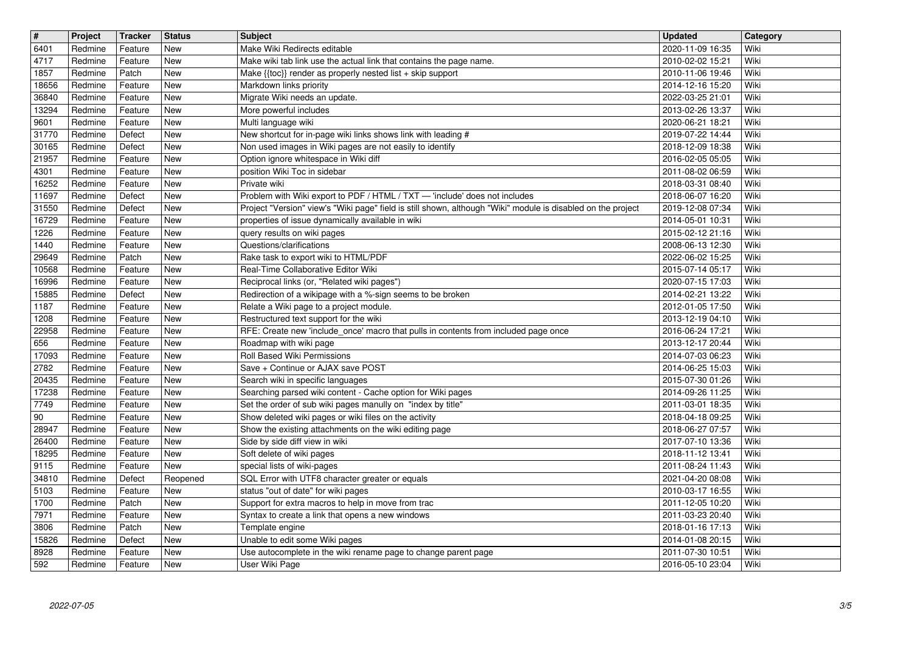| $\sqrt{\frac{4}{15}}$ | Project | <b>Tracker</b> | <b>Status</b> | <b>Subject</b><br>Make Wiki Redirects editable                                                               | <b>Updated</b>   | Category     |
|-----------------------|---------|----------------|---------------|--------------------------------------------------------------------------------------------------------------|------------------|--------------|
| 6401                  | Redmine | Feature        | New           | Make wiki tab link use the actual link that contains the page name.                                          | 2020-11-09 16:35 | Wiki         |
| 4717                  | Redmine | Feature        | <b>New</b>    |                                                                                                              | 2010-02-02 15:21 | Wiki         |
| 1857                  | Redmine | Patch          | <b>New</b>    | Make {{toc}} render as properly nested list + skip support                                                   | 2010-11-06 19:46 | Wiki         |
| 18656                 | Redmine | Feature        | <b>New</b>    | Markdown links priority                                                                                      | 2014-12-16 15:20 | Wiki         |
| 36840                 | Redmine | Feature        | New           | Migrate Wiki needs an update.                                                                                | 2022-03-25 21:01 | Wiki         |
| 13294                 | Redmine | Feature        | New           | More powerful includes                                                                                       | 2013-02-26 13:37 | Wiki         |
| 9601                  | Redmine | Feature        | New           | Multi language wiki                                                                                          | 2020-06-21 18:21 | Wiki         |
| 31770                 | Redmine | Defect         | New           | New shortcut for in-page wiki links shows link with leading #                                                | 2019-07-22 14:44 | Wiki         |
| 30165                 | Redmine | Defect         | New           | Non used images in Wiki pages are not easily to identify                                                     | 2018-12-09 18:38 | Wiki         |
| 21957                 | Redmine | Feature        | New           | Option ignore whitespace in Wiki diff                                                                        | 2016-02-05 05:05 | Wiki         |
| 4301                  | Redmine | Feature        | <b>New</b>    | position Wiki Toc in sidebar                                                                                 | 2011-08-02 06:59 | Wiki         |
| 16252                 | Redmine | Feature        | <b>New</b>    | Private wiki                                                                                                 | 2018-03-31 08:40 | Wiki         |
| 11697                 | Redmine | Defect         | <b>New</b>    | Problem with Wiki export to PDF / HTML / TXT - 'include' does not includes                                   | 2018-06-07 16:20 | Wiki         |
| 31550                 | Redmine | Defect         | New           | Project "Version" view's "Wiki page" field is still shown, although "Wiki" module is disabled on the project | 2019-12-08 07:34 | Wiki         |
| 16729                 | Redmine | Feature        | New           | properties of issue dynamically available in wiki                                                            | 2014-05-01 10:31 | Wiki         |
| 1226                  | Redmine | Feature        | New           | query results on wiki pages                                                                                  | 2015-02-12 21:16 | Wiki         |
| 1440                  | Redmine | Feature        | New           | Questions/clarifications                                                                                     | 2008-06-13 12:30 | Wiki         |
| 29649                 | Redmine | Patch          | New           | Rake task to export wiki to HTML/PDF                                                                         | 2022-06-02 15:25 | Wiki         |
| 10568                 | Redmine | Feature        | New           | Real-Time Collaborative Editor Wiki                                                                          | 2015-07-14 05:17 | Wiki         |
| 16996                 | Redmine | Feature        | <b>New</b>    | Reciprocal links (or, "Related wiki pages")                                                                  | 2020-07-15 17:03 | Wiki         |
| 15885                 | Redmine | Defect         | New           | Redirection of a wikipage with a %-sign seems to be broken                                                   | 2014-02-21 13:22 | Wiki         |
| 1187                  | Redmine | Feature        | New           | Relate a Wiki page to a project module.                                                                      | 2012-01-05 17:50 | Wiki         |
| 1208                  | Redmine | Feature        | New           | Restructured text support for the wiki                                                                       | 2013-12-19 04:10 | Wiki         |
| 22958                 | Redmine | Feature        | New           | RFE: Create new 'include_once' macro that pulls in contents from included page once                          | 2016-06-24 17:21 | Wiki         |
| 656                   | Redmine | Feature        | New           | Roadmap with wiki page                                                                                       | 2013-12-17 20:44 | Wiki         |
| 17093                 | Redmine | Feature        | New           | Roll Based Wiki Permissions                                                                                  | 2014-07-03 06:23 | Wiki         |
| 2782                  | Redmine | Feature        | New           | Save + Continue or AJAX save POST                                                                            | 2014-06-25 15:03 | Wiki         |
| 20435                 | Redmine | Feature        | New           | Search wiki in specific languages                                                                            | 2015-07-30 01:26 | Wiki         |
| 17238                 | Redmine | Feature        | <b>New</b>    | Searching parsed wiki content - Cache option for Wiki pages                                                  | 2014-09-26 11:25 | Wiki         |
| 7749                  | Redmine | Feature        | <b>New</b>    | Set the order of sub wiki pages manully on "index by title"                                                  | 2011-03-01 18:35 | Wiki         |
| 90                    | Redmine | Feature        | New           | Show deleted wiki pages or wiki files on the activity                                                        | 2018-04-18 09:25 | Wiki         |
| 28947                 | Redmine | Feature        | New           | Show the existing attachments on the wiki editing page                                                       | 2018-06-27 07:57 | Wiki         |
| 26400                 | Redmine | Feature        | New           | Side by side diff view in wiki                                                                               | 2017-07-10 13:36 | Wiki         |
| 18295                 | Redmine | Feature        | New           | Soft delete of wiki pages                                                                                    | 2018-11-12 13:41 | Wiki         |
| 9115                  | Redmine | Feature        | New           | special lists of wiki-pages                                                                                  | 2011-08-24 11:43 | Wiki         |
| 34810                 | Redmine | Defect         | Reopened      | SQL Error with UTF8 character greater or equals                                                              | 2021-04-20 08:08 | Wiki         |
| 5103                  | Redmine | Feature        | New           | status "out of date" for wiki pages                                                                          | 2010-03-17 16:55 | Wiki<br>Wiki |
| 1700                  | Redmine | Patch          | New           | Support for extra macros to help in move from trac                                                           | 2011-12-05 10:20 | Wiki         |
| 7971                  | Redmine | Feature        | New           | Syntax to create a link that opens a new windows                                                             | 2011-03-23 20:40 |              |
| 3806                  | Redmine | Patch          | New           | Template engine                                                                                              | 2018-01-16 17:13 | Wiki         |
| 15826                 | Redmine | Defect         | New           | Unable to edit some Wiki pages                                                                               | 2014-01-08 20:15 | Wiki         |
| 8928                  | Redmine | Feature        | New           | Use autocomplete in the wiki rename page to change parent page                                               | 2011-07-30 10:51 | Wiki         |
| 592                   | Redmine | Feature        | New           | User Wiki Page                                                                                               | 2016-05-10 23:04 | Wiki         |
|                       |         |                |               |                                                                                                              |                  |              |
|                       |         |                |               |                                                                                                              |                  |              |
|                       |         |                |               |                                                                                                              |                  |              |
|                       |         |                |               |                                                                                                              |                  |              |
|                       |         |                |               |                                                                                                              |                  |              |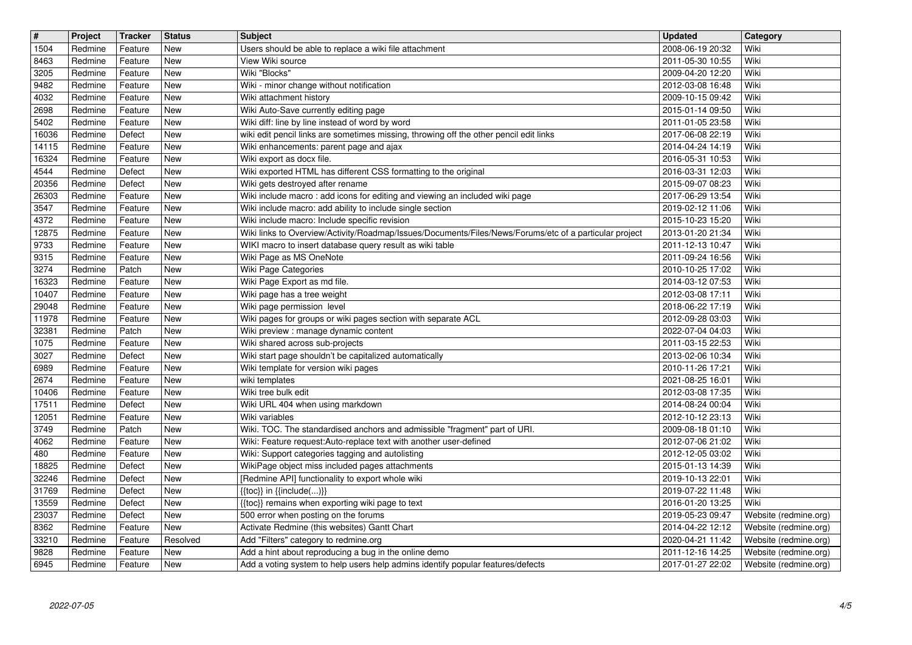| $\boxed{\texttt{#}}$ | Project            | <b>Tracker</b>     | <b>Status</b> | <b>Subject</b>                                                                                                                           | Updated                              | Category                                       |
|----------------------|--------------------|--------------------|---------------|------------------------------------------------------------------------------------------------------------------------------------------|--------------------------------------|------------------------------------------------|
| 1504                 | Redmine            | Feature            | New           | Users should be able to replace a wiki file attachment                                                                                   | 2008-06-19 20:32                     | Wiki                                           |
| 8463                 | Redmine            | Feature            | New           | View Wiki source                                                                                                                         | 2011-05-30 10:55                     | Wiki                                           |
| 3205                 | Redmine            | Feature            | New           | Wiki "Blocks"                                                                                                                            | 2009-04-20 12:20                     | Wiki                                           |
| 9482<br>4032         | Redmine<br>Redmine | Feature<br>Feature | New<br>New    | Wiki - minor change without notification<br>Wiki attachment history                                                                      | 2012-03-08 16:48<br>2009-10-15 09:42 | Wiki<br>Wiki                                   |
| 2698                 | Redmine            | Feature            | New           | Wiki Auto-Save currently editing page                                                                                                    | 2015-01-14 09:50                     | Wiki                                           |
| 5402                 | Redmine            | Feature            | New           | Wiki diff: line by line instead of word by word                                                                                          | 2011-01-05 23:58                     | Wiki                                           |
| 16036                | Redmine            | Defect             | New           | wiki edit pencil links are sometimes missing, throwing off the other pencil edit links                                                   | 2017-06-08 22:19                     | Wiki                                           |
| 14115                | Redmine            | Feature            | New           | Wiki enhancements: parent page and ajax                                                                                                  | 2014-04-24 14:19                     | Wiki                                           |
| 16324                | Redmine            | Feature            | New           | Wiki export as docx file.                                                                                                                | 2016-05-31 10:53                     | Wiki                                           |
| 4544                 | Redmine            | Defect             | New           | Wiki exported HTML has different CSS formatting to the original                                                                          | 2016-03-31 12:03                     | Wiki                                           |
| 20356                | Redmine            | Defect             | New           | Wiki gets destroyed after rename                                                                                                         | 2015-09-07 08:23                     | Wiki<br>Wiki                                   |
| 26303<br>3547        | Redmine<br>Redmine | Feature<br>Feature | New<br>New    | Wiki include macro: add icons for editing and viewing an included wiki page<br>Wiki include macro: add ability to include single section | 2017-06-29 13:54<br>2019-02-12 11:06 | Wiki                                           |
| 4372                 | Redmine            | Feature            | New           | Wiki include macro: Include specific revision                                                                                            | 2015-10-23 15:20                     | Wiki                                           |
| 12875                | Redmine            | Feature            | New           | Wiki links to Overview/Activity/Roadmap/Issues/Documents/Files/News/Forums/etc of a particular project                                   | 2013-01-20 21:34                     | Wiki                                           |
| 9733                 | Redmine            | Feature            | New           | WIKI macro to insert database query result as wiki table                                                                                 | 2011-12-13 10:47                     | Wiki                                           |
| 9315                 | Redmine            | Feature            | New           | Wiki Page as MS OneNote                                                                                                                  | 2011-09-24 16:56                     | Wiki                                           |
| 3274                 | Redmine            | Patch              | New           | Wiki Page Categories                                                                                                                     | 2010-10-25 17:02                     | Wiki                                           |
| 16323                | Redmine            | Feature            | New           | Wiki Page Export as md file.                                                                                                             | 2014-03-12 07:53                     | Wiki                                           |
| 10407                | Redmine            | Feature            | New           | Wiki page has a tree weight                                                                                                              | 2012-03-08 17:11                     | Wiki                                           |
| 29048                | Redmine            | Feature            | New           | Wiki page permission level                                                                                                               | 2018-06-22 17:19                     | Wiki                                           |
| 11978<br>32381       | Redmine<br>Redmine | Feature<br>Patch   | New<br>New    | Wiki pages for groups or wiki pages section with separate ACL<br>Wiki preview : manage dynamic content                                   | 2012-09-28 03:03<br>2022-07-04 04:03 | Wiki<br>Wiki                                   |
| 1075                 | Redmine            | Feature            | New           | Wiki shared across sub-projects                                                                                                          | 2011-03-15 22:53                     | Wiki                                           |
| 3027                 | Redmine            | Defect             | New           | Wiki start page shouldn't be capitalized automatically                                                                                   | 2013-02-06 10:34                     | Wiki                                           |
| 6989                 | Redmine            | Feature            | New           | Wiki template for version wiki pages                                                                                                     | 2010-11-26 17:21                     | Wiki                                           |
| 2674                 | Redmine            | Feature            | New           | wiki templates                                                                                                                           | 2021-08-25 16:01                     | Wiki                                           |
| 10406                | Redmine            | Feature            | New           | Wiki tree bulk edit                                                                                                                      | 2012-03-08 17:35                     | Wiki                                           |
| 17511                | Redmine            | Defect             | New           | Wiki URL 404 when using markdown                                                                                                         | 2014-08-24 00:04                     | Wiki                                           |
| 12051                | Redmine            | Feature            | New           | Wiki variables                                                                                                                           | 2012-10-12 23:13                     | Wiki                                           |
| 3749                 | Redmine            | Patch              | New           | Wiki. TOC. The standardised anchors and admissible "fragment" part of URI.                                                               | 2009-08-18 01:10                     | Wiki                                           |
| 4062                 | Redmine            | Feature            | New           | Wiki: Feature request:Auto-replace text with another user-defined                                                                        | 2012-07-06 21:02                     | Wiki                                           |
| 480<br>18825         | Redmine<br>Redmine | Feature<br>Defect  | New<br>New    | Wiki: Support categories tagging and autolisting<br>WikiPage object miss included pages attachments                                      | 2012-12-05 03:02<br>2015-01-13 14:39 | Wiki<br>Wiki                                   |
| 32246                | Redmine            | Defect             | New           | [Redmine API] functionality to export whole wiki                                                                                         | 2019-10-13 22:01                     | Wiki                                           |
| 31769                | Redmine            | Defect             | New           | $\{\{\textsf{toc}\}\}\$ in $\{\{\textsf{include}()\}\}$                                                                                  | 2019-07-22 11:48                     | Wiki                                           |
| 13559                | Redmine            | Defect             | New           | {{toc}} remains when exporting wiki page to text                                                                                         | 2016-01-20 13:25                     | Wiki                                           |
| 23037                | Redmine            | Defect             | New           | 500 error when posting on the forums                                                                                                     | 2019-05-23 09:47                     | Website (redmine.org)                          |
| 8362                 | Redmine            | Feature            | New           | Activate Redmine (this websites) Gantt Chart                                                                                             | 2014-04-22 12:12                     | Website (redmine.org)                          |
| 33210                | Redmine            | Feature            | Resolved      | Add "Filters" category to redmine.org                                                                                                    | 2020-04-21 11:42                     | Website (redmine.org)                          |
| 9828<br>6945         | Redmine<br>Redmine | Feature<br>Feature | New<br>New    | Add a hint about reproducing a bug in the online demo<br>Add a voting system to help users help admins identify popular features/defects | 2011-12-16 14:25<br>2017-01-27 22:02 | Website (redmine.org)<br>Website (redmine.org) |
|                      |                    |                    |               |                                                                                                                                          |                                      |                                                |
|                      |                    |                    |               |                                                                                                                                          |                                      |                                                |
|                      |                    |                    |               |                                                                                                                                          |                                      |                                                |
|                      |                    |                    |               |                                                                                                                                          |                                      |                                                |
|                      |                    |                    |               |                                                                                                                                          |                                      |                                                |
|                      |                    |                    |               |                                                                                                                                          |                                      |                                                |
|                      |                    |                    |               |                                                                                                                                          |                                      |                                                |
|                      |                    |                    |               |                                                                                                                                          |                                      |                                                |
|                      |                    |                    |               |                                                                                                                                          |                                      |                                                |
|                      |                    |                    |               |                                                                                                                                          |                                      |                                                |
|                      |                    |                    |               |                                                                                                                                          |                                      |                                                |
|                      |                    |                    |               |                                                                                                                                          |                                      |                                                |
|                      |                    |                    |               |                                                                                                                                          |                                      |                                                |